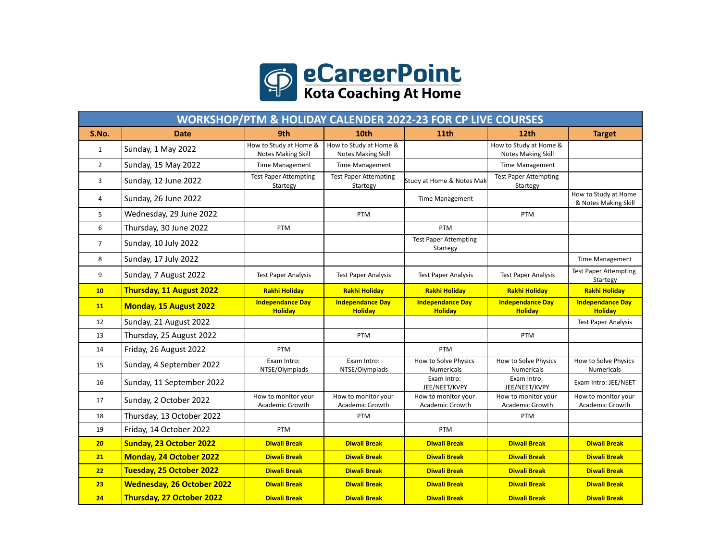

| <b>WORKSHOP/PTM &amp; HOLIDAY CALENDER 2022-23 FOR CP LIVE COURSES</b> |                                   |                                              |                                                     |                                           |                                              |                                              |  |  |  |  |
|------------------------------------------------------------------------|-----------------------------------|----------------------------------------------|-----------------------------------------------------|-------------------------------------------|----------------------------------------------|----------------------------------------------|--|--|--|--|
| S.No.                                                                  | <b>Date</b>                       | 9th                                          | 10th                                                | 11th                                      | 12th                                         | <b>Target</b>                                |  |  |  |  |
| $\mathbf{1}$                                                           | Sunday, 1 May 2022                | How to Study at Home &<br>Notes Making Skill | How to Study at Home &<br><b>Notes Making Skill</b> |                                           | How to Study at Home &<br>Notes Making Skill |                                              |  |  |  |  |
| $\overline{2}$                                                         | Sunday, 15 May 2022               | <b>Time Management</b>                       | <b>Time Management</b>                              |                                           | <b>Time Management</b>                       |                                              |  |  |  |  |
| 3                                                                      | Sunday, 12 June 2022              | <b>Test Paper Attempting</b><br>Startegy     | <b>Test Paper Attempting</b><br>Startegy            | Study at Home & Notes Mak                 | <b>Test Paper Attempting</b><br>Startegy     |                                              |  |  |  |  |
| 4                                                                      | Sunday, 26 June 2022              |                                              |                                                     | <b>Time Management</b>                    |                                              | How to Study at Home<br>& Notes Making Skill |  |  |  |  |
| 5                                                                      | Wednesday, 29 June 2022           |                                              | PTM                                                 |                                           | PTM                                          |                                              |  |  |  |  |
| 6                                                                      | Thursday, 30 June 2022            | PTM                                          |                                                     | PTM                                       |                                              |                                              |  |  |  |  |
| $\overline{7}$                                                         | Sunday, 10 July 2022              |                                              |                                                     | <b>Test Paper Attempting</b><br>Startegy  |                                              |                                              |  |  |  |  |
| 8                                                                      | Sunday, 17 July 2022              |                                              |                                                     |                                           |                                              | <b>Time Management</b>                       |  |  |  |  |
| 9                                                                      | Sunday, 7 August 2022             | <b>Test Paper Analysis</b>                   | <b>Test Paper Analysis</b>                          | <b>Test Paper Analysis</b>                | <b>Test Paper Analysis</b>                   | <b>Test Paper Attempting</b><br>Startegy     |  |  |  |  |
| 10                                                                     | Thursday, 11 August 2022          | <b>Rakhi Holiday</b>                         | <b>Rakhi Holiday</b>                                | Rakhi Holiday                             | <b>Rakhi Holiday</b>                         | <b>Rakhi Holiday</b>                         |  |  |  |  |
| 11                                                                     | <b>Monday, 15 August 2022</b>     | <b>Independance Day</b><br><b>Holiday</b>    | <b>Independance Day</b><br><b>Holiday</b>           | <b>Independance Day</b><br><b>Holiday</b> | <b>Independance Day</b><br><b>Holiday</b>    | <b>Independance Day</b><br><b>Holiday</b>    |  |  |  |  |
| 12                                                                     | Sunday, 21 August 2022            |                                              |                                                     |                                           |                                              | <b>Test Paper Analysis</b>                   |  |  |  |  |
| 13                                                                     | Thursday, 25 August 2022          |                                              | PTM                                                 |                                           | PTM                                          |                                              |  |  |  |  |
| 14                                                                     | Friday, 26 August 2022            | PTM                                          |                                                     | PTM                                       |                                              |                                              |  |  |  |  |
| 15                                                                     | Sunday, 4 September 2022          | Exam Intro:<br>NTSE/Olympiads                | Exam Intro:<br>NTSE/Olympiads                       | How to Solve Physics<br>Numericals        | How to Solve Physics<br><b>Numericals</b>    | How to Solve Physics<br>Numericals           |  |  |  |  |
| 16                                                                     | Sunday, 11 September 2022         |                                              |                                                     | Exam Intro:<br>JEE/NEET/KVPY              | Exam Intro:<br>JEE/NEET/KVPY                 | Exam Intro: JEE/NEET                         |  |  |  |  |
| 17                                                                     | Sunday, 2 October 2022            | How to monitor your<br>Academic Growth       | How to monitor your<br>Academic Growth              | How to monitor your<br>Academic Growth    | How to monitor your<br>Academic Growth       | How to monitor your<br>Academic Growth       |  |  |  |  |
| 18                                                                     | Thursday, 13 October 2022         |                                              | PTM                                                 |                                           | PTM                                          |                                              |  |  |  |  |
| 19                                                                     | Friday, 14 October 2022           | PTM                                          |                                                     | PTM                                       |                                              |                                              |  |  |  |  |
| 20                                                                     | Sunday, 23 October 2022           | <b>Diwali Break</b>                          | <b>Diwali Break</b>                                 | <b>Diwali Break</b>                       | <b>Diwali Break</b>                          | <b>Diwali Break</b>                          |  |  |  |  |
| 21                                                                     | <b>Monday, 24 October 2022</b>    | <b>Diwali Break</b>                          | <b>Diwali Break</b>                                 | <b>Diwali Break</b>                       | <b>Diwali Break</b>                          | <b>Diwali Break</b>                          |  |  |  |  |
| 22                                                                     | Tuesday, 25 October 2022          | <b>Diwali Break</b>                          | <b>Diwali Break</b>                                 | <b>Diwali Break</b>                       | <b>Diwali Break</b>                          | <b>Diwali Break</b>                          |  |  |  |  |
| 23                                                                     | <b>Wednesday, 26 October 2022</b> | <b>Diwali Break</b>                          | <b>Diwali Break</b>                                 | <b>Diwali Break</b>                       | <b>Diwali Break</b>                          | <b>Diwali Break</b>                          |  |  |  |  |
| 24                                                                     | Thursday, 27 October 2022         | <b>Diwali Break</b>                          | <b>Diwali Break</b>                                 | <b>Diwali Break</b>                       | <b>Diwali Break</b>                          | <b>Diwali Break</b>                          |  |  |  |  |